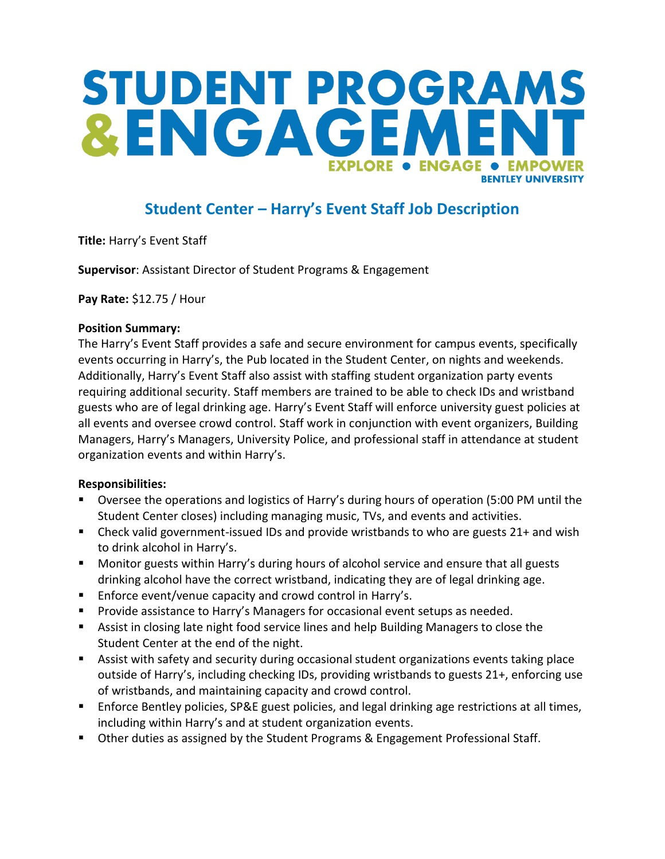# STUDENT PROGRAMS &ENGAGEA **EXPLORE . ENGAGE • EMPOW RENTI EY UNIVERSITY**

### **Student Center – Harry's Event Staff Job Description**

**Title:** Harry's Event Staff

**Supervisor**: Assistant Director of Student Programs & Engagement

**Pay Rate:** \$12.75 / Hour

#### **Position Summary:**

The Harry's Event Staff provides a safe and secure environment for campus events, specifically events occurring in Harry's, the Pub located in the Student Center, on nights and weekends. Additionally, Harry's Event Staff also assist with staffing student organization party events requiring additional security. Staff members are trained to be able to check IDs and wristband guests who are of legal drinking age. Harry's Event Staff will enforce university guest policies at all events and oversee crowd control. Staff work in conjunction with event organizers, Building Managers, Harry's Managers, University Police, and professional staff in attendance at student organization events and within Harry's.

### **Responsibilities:**

- Oversee the operations and logistics of Harry's during hours of operation (5:00 PM until the Student Center closes) including managing music, TVs, and events and activities.
- Check valid government-issued IDs and provide wristbands to who are guests 21+ and wish to drink alcohol in Harry's.
- Monitor guests within Harry's during hours of alcohol service and ensure that all guests drinking alcohol have the correct wristband, indicating they are of legal drinking age.
- **Enforce event/venue capacity and crowd control in Harry's.**
- **Provide assistance to Harry's Managers for occasional event setups as needed.**
- Assist in closing late night food service lines and help Building Managers to close the Student Center at the end of the night.
- Assist with safety and security during occasional student organizations events taking place outside of Harry's, including checking IDs, providing wristbands to guests 21+, enforcing use of wristbands, and maintaining capacity and crowd control.
- Enforce Bentley policies, SP&E guest policies, and legal drinking age restrictions at all times, including within Harry's and at student organization events.
- **Deall** Other duties as assigned by the Student Programs & Engagement Professional Staff.